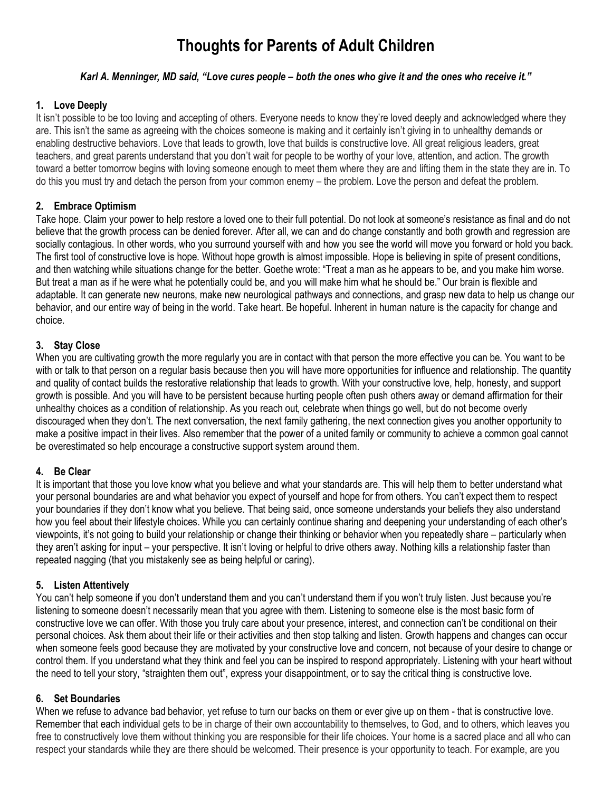# **Thoughts for Parents of Adult Children**

# *Karl A. Menninger, MD said, "Love cures people – both the ones who give it and the ones who receive it."*

# **1. Love Deeply**

It isn't possible to be too loving and accepting of others. Everyone needs to know they're loved deeply and acknowledged where they are. This isn't the same as agreeing with the choices someone is making and it certainly isn't giving in to unhealthy demands or enabling destructive behaviors. Love that leads to growth, love that builds is constructive love. All great religious leaders, great teachers, and great parents understand that you don't wait for people to be worthy of your love, attention, and action. The growth toward a better tomorrow begins with loving someone enough to meet them where they are and lifting them in the state they are in. To do this you must try and detach the person from your common enemy – the problem. Love the person and defeat the problem.

# **2. Embrace Optimism**

Take hope. Claim your power to help restore a loved one to their full potential. Do not look at someone's resistance as final and do not believe that the growth process can be denied forever. After all, we can and do change constantly and both growth and regression are socially contagious. In other words, who you surround yourself with and how you see the world will move you forward or hold you back. The first tool of constructive love is hope. Without hope growth is almost impossible. Hope is believing in spite of present conditions, and then watching while situations change for the better. Goethe wrote: "Treat a man as he appears to be, and you make him worse. But treat a man as if he were what he potentially could be, and you will make him what he should be." Our brain is flexible and adaptable. It can generate new neurons, make new neurological pathways and connections, and grasp new data to help us change our behavior, and our entire way of being in the world. Take heart. Be hopeful. Inherent in human nature is the capacity for change and choice.

### **3. Stay Close**

When you are cultivating growth the more regularly you are in contact with that person the more effective you can be. You want to be with or talk to that person on a regular basis because then you will have more opportunities for influence and relationship. The quantity and quality of contact builds the restorative relationship that leads to growth. With your constructive love, help, honesty, and support growth is possible. And you will have to be persistent because hurting people often push others away or demand affirmation for their unhealthy choices as a condition of relationship. As you reach out, celebrate when things go well, but do not become overly discouraged when they don't. The next conversation, the next family gathering, the next connection gives you another opportunity to make a positive impact in their lives. Also remember that the power of a united family or community to achieve a common goal cannot be overestimated so help encourage a constructive support system around them.

#### **4. Be Clear**

It is important that those you love know what you believe and what your standards are. This will help them to better understand what your personal boundaries are and what behavior you expect of yourself and hope for from others. You can't expect them to respect your boundaries if they don't know what you believe. That being said, once someone understands your beliefs they also understand how you feel about their lifestyle choices. While you can certainly continue sharing and deepening your understanding of each other's viewpoints, it's not going to build your relationship or change their thinking or behavior when you repeatedly share – particularly when they aren't asking for input – your perspective. It isn't loving or helpful to drive others away. Nothing kills a relationship faster than repeated nagging (that you mistakenly see as being helpful or caring).

#### **5. Listen Attentively**

You can't help someone if you don't understand them and you can't understand them if you won't truly listen. Just because you're listening to someone doesn't necessarily mean that you agree with them. Listening to someone else is the most basic form of constructive love we can offer. With those you truly care about your presence, interest, and connection can't be conditional on their personal choices. Ask them about their life or their activities and then stop talking and listen. Growth happens and changes can occur when someone feels good because they are motivated by your constructive love and concern, not because of your desire to change or control them. If you understand what they think and feel you can be inspired to respond appropriately. Listening with your heart without the need to tell your story, "straighten them out", express your disappointment, or to say the critical thing is constructive love.

#### **6. Set Boundaries**

When we refuse to advance bad behavior, yet refuse to turn our backs on them or ever give up on them - that is constructive love. Remember that each individual gets to be in charge of their own accountability to themselves, to God, and to others, which leaves you free to constructively love them without thinking you are responsible for their life choices. Your home is a sacred place and all who can respect your standards while they are there should be welcomed. Their presence is your opportunity to teach. For example, are you